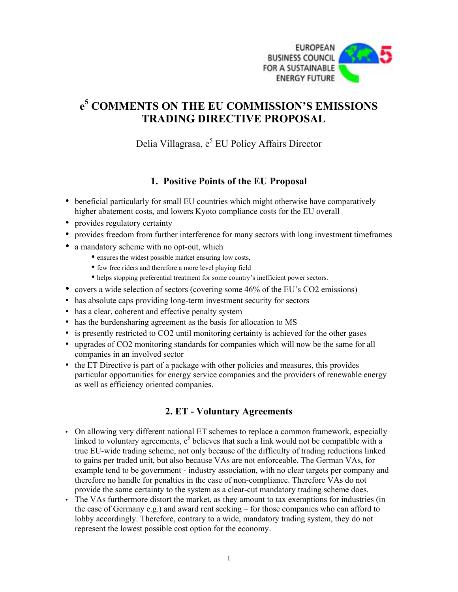

# **e 5 COMMENTS ON THE EU COMMISSION'S EMISSIONS TRADING DIRECTIVE PROPOSAL**

Delia Villagrasa, e<sup>5</sup> EU Policy Affairs Director

## **1. Positive Points of the EU Proposal**

- beneficial particularly for small EU countries which might otherwise have comparatively higher abatement costs, and lowers Kyoto compliance costs for the EU overall
- provides regulatory certainty
- provides freedom from further interference for many sectors with long investment timeframes
- a mandatory scheme with no opt-out, which
	- ensures the widest possible market ensuring low costs,
	- few free riders and therefore a more level playing field
	- helps stopping preferential treatment for some country's inefficient power sectors.
- covers a wide selection of sectors (covering some 46% of the EU's CO2 emissions)
- has absolute caps providing long-term investment security for sectors
- has a clear, coherent and effective penalty system
- has the burdensharing agreement as the basis for allocation to MS
- is presently restricted to CO2 until monitoring certainty is achieved for the other gases
- upgrades of CO2 monitoring standards for companies which will now be the same for all companies in an involved sector
- the ET Directive is part of a package with other policies and measures, this provides particular opportunities for energy service companies and the providers of renewable energy as well as efficiency oriented companies.

# **2. ET - Voluntary Agreements**

- On allowing very different national ET schemes to replace a common framework, especially linked to voluntary agreements,  $e^5$  believes that such a link would not be compatible with a true EU-wide trading scheme, not only because of the difficulty of trading reductions linked to gains per traded unit, but also because VAs are not enforceable. The German VAs, for example tend to be government - industry association, with no clear targets per company and therefore no handle for penalties in the case of non-compliance. Therefore VAs do not provide the same certainty to the system as a clear-cut mandatory trading scheme does.
- The VAs furthermore distort the market, as they amount to tax exemptions for industries (in the case of Germany e.g.) and award rent seeking – for those companies who can afford to lobby accordingly. Therefore, contrary to a wide, mandatory trading system, they do not represent the lowest possible cost option for the economy.